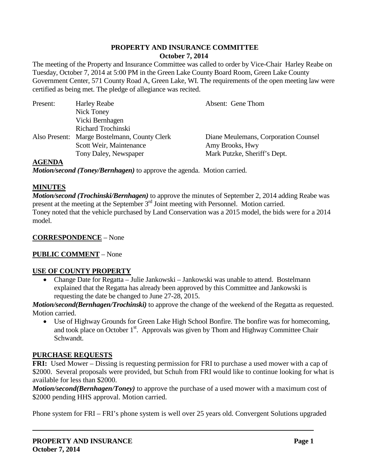## **PROPERTY AND INSURANCE COMMITTEE October 7, 2014**

The meeting of the Property and Insurance Committee was called to order by Vice-Chair Harley Reabe on Tuesday, October 7, 2014 at 5:00 PM in the Green Lake County Board Room, Green Lake County Government Center, 571 County Road A, Green Lake, WI. The requirements of the open meeting law were certified as being met. The pledge of allegiance was recited.

| Present: | <b>Harley Reabe</b>                          | Absent: Gene Thom                    |
|----------|----------------------------------------------|--------------------------------------|
|          | Nick Toney                                   |                                      |
|          | Vicki Bernhagen                              |                                      |
|          | Richard Trochinski                           |                                      |
|          | Also Present: Marge Bostelmann, County Clerk | Diane Meulemans, Corporation Counsel |
|          | Scott Weir, Maintenance                      | Amy Brooks, Hwy                      |
|          | Tony Daley, Newspaper                        | Mark Putzke, Sheriff's Dept.         |
|          |                                              |                                      |

### **AGENDA**

*Motion/second (Toney/Bernhagen)* to approve the agenda. Motion carried.

### **MINUTES**

*Motion/second (Trochinski/Bernhagen)* to approve the minutes of September 2, 2014 adding Reabe was present at the meeting at the September  $3<sup>rd</sup>$  Joint meeting with Personnel. Motion carried.

Toney noted that the vehicle purchased by Land Conservation was a 2015 model, the bids were for a 2014 model.

# **CORRESPONDENCE** – None

## **PUBLIC COMMENT** – None

## **USE OF COUNTY PROPERTY**

• Change Date for Regatta – Julie Jankowski – Jankowski was unable to attend. Bostelmann explained that the Regatta has already been approved by this Committee and Jankowski is requesting the date be changed to June 27-28, 2015.

*Motion/second(Bernhagen/Trochinski)* to approve the change of the weekend of the Regatta as requested. Motion carried.

• Use of Highway Grounds for Green Lake High School Bonfire. The bonfire was for homecoming, and took place on October  $1<sup>st</sup>$ . Approvals was given by Thom and Highway Committee Chair Schwandt.

## **PURCHASE REQUESTS**

**FRI:** Used Mower – Dissing is requesting permission for FRI to purchase a used mower with a cap of \$2000. Several proposals were provided, but Schuh from FRI would like to continue looking for what is available for less than \$2000.

*Motion/second(Bernhagen/Toney)* to approve the purchase of a used mower with a maximum cost of \$2000 pending HHS approval. Motion carried.

Phone system for FRI – FRI's phone system is well over 25 years old. Convergent Solutions upgraded